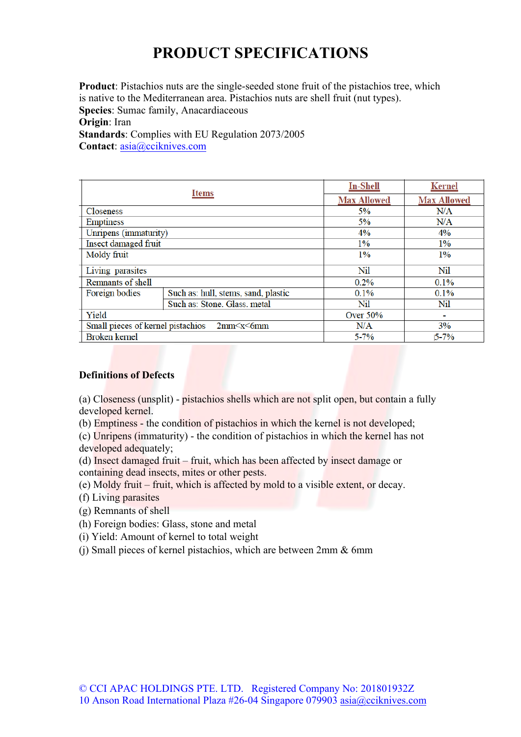## **PRODUCT SPECIFICATIONS**

**Product**: Pistachios nuts are the single-seeded stone fruit of the pistachios tree, which is native to the Mediterranean area. Pistachios nuts are shell fruit (nut types). **Species**: Sumac family, Anacardiaceous **Origin**: Iran **Standards**: Complies with EU Regulation 2073/2005 **Contact**: asia@cciknives.com

| <b>Items</b>                                                                           |                                     | <b>In-Shell</b>    | <b>Kernel</b>      |  |
|----------------------------------------------------------------------------------------|-------------------------------------|--------------------|--------------------|--|
|                                                                                        |                                     | <b>Max Allowed</b> | <b>Max Allowed</b> |  |
| Closeness                                                                              |                                     | 5%                 | N/A                |  |
| <b>Emptiness</b>                                                                       |                                     | 5%                 | N/A                |  |
| Unripens (immaturity)                                                                  |                                     | $4\%$              | $4\%$              |  |
| Insect damaged fruit                                                                   |                                     | 1%                 | 1%                 |  |
| Moldy fruit                                                                            |                                     | 1%                 | 1%                 |  |
| Living parasites                                                                       |                                     | Nil                | Nil                |  |
| Remnants of shell                                                                      |                                     | $0.2\%$            | $0.1\%$            |  |
| Foreign bodies                                                                         | Such as: hull, stems, sand, plastic | 0.1%               | 0.1%               |  |
|                                                                                        | Such as: Stone, Glass, metal        | Nil                | Nil                |  |
| Yield                                                                                  |                                     | Over $50\%$        |                    |  |
| Small pieces of kernel pistachios<br>2mm <x <6mm<="" td=""><td>N/A</td><td>3%</td></x> |                                     | N/A                | 3%                 |  |
| <b>Broken</b> kernel                                                                   |                                     | $5 - 7%$           | $5 - 7%$           |  |

## **Definitions of Defects**

(a) Closeness (unsplit) - pistachios shells which are not split open, but contain a fully developed kernel.

(b) Emptiness - the condition of pistachios in which the kernel is not developed;

(c) Unripens (immaturity) - the condition of pistachios in which the kernel has not developed adequately;

(d) Insect damaged fruit – fruit, which has been affected by insect damage or containing dead insects, mites or other pests.

(e) Moldy fruit – fruit, which is affected by mold to a visible extent, or decay.

(f) Living parasites

(g) Remnants of shell

(h) Foreign bodies: Glass, stone and metal

(i) Yield: Amount of kernel to total weight

(j) Small pieces of kernel pistachios, which are between 2mm & 6mm